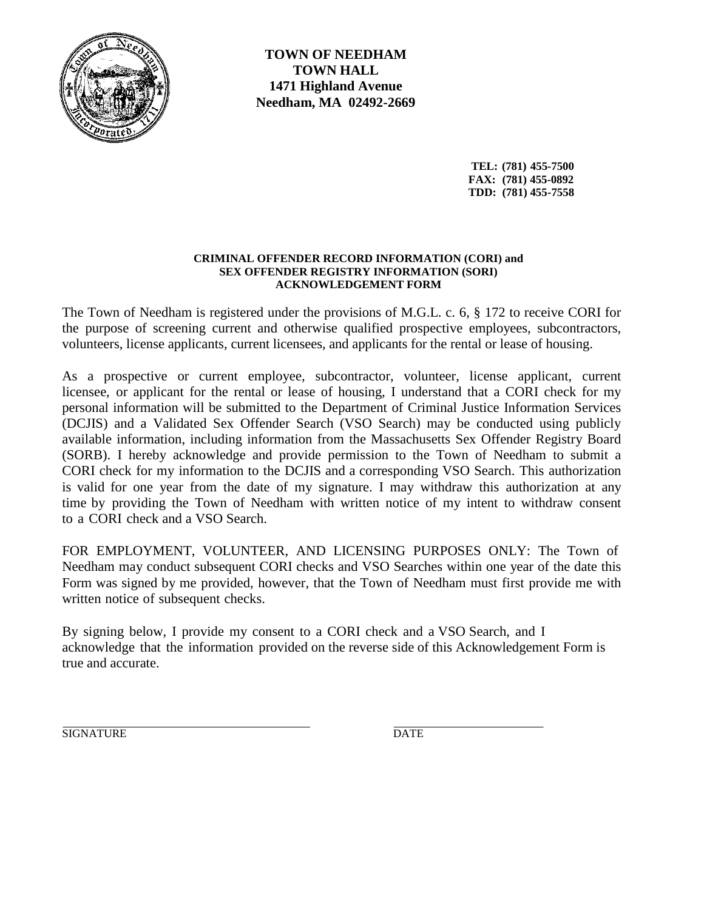

**TOWN OF NEEDHAM TOWN HALL 1471 Highland Avenue Needham, MA 02492-2669**

> **TEL: (781) 455-7500 FAX: (781) 455-0892 TDD: (781) 455-7558**

## **CRIMINAL OFFENDER RECORD INFORMATION (CORI) and SEX OFFENDER REGISTRY INFORMATION (SORI) ACKNOWLEDGEMENT FORM**

The Town of Needham is registered under the provisions of M.G.L. c. 6, § 172 to receive CORI for the purpose of screening current and otherwise qualified prospective employees, subcontractors, volunteers, license applicants, current licensees, and applicants for the rental or lease of housing.

As a prospective or current employee, subcontractor, volunteer, license applicant, current licensee, or applicant for the rental or lease of housing, I understand that a CORI check for my personal information will be submitted to the Department of Criminal Justice Information Services (DCJIS) and a Validated Sex Offender Search (VSO Search) may be conducted using publicly available information, including information from the Massachusetts Sex Offender Registry Board (SORB). I hereby acknowledge and provide permission to the Town of Needham to submit a CORI check for my information to the DCJIS and a corresponding VSO Search. This authorization is valid for one year from the date of my signature. I may withdraw this authorization at any time by providing the Town of Needham with written notice of my intent to withdraw consent to a CORI check and a VSO Search.

FOR EMPLOYMENT, VOLUNTEER, AND LICENSING PURPOSES ONLY: The Town of Needham may conduct subsequent CORI checks and VSO Searches within one year of the date this Form was signed by me provided, however, that the Town of Needham must first provide me with written notice of subsequent checks.

By signing below, I provide my consent to a CORI check and a VSO Search, and I acknowledge that the information provided on the reverse side of this Acknowledgement Form is true and accurate.

SIGNATURE DATE